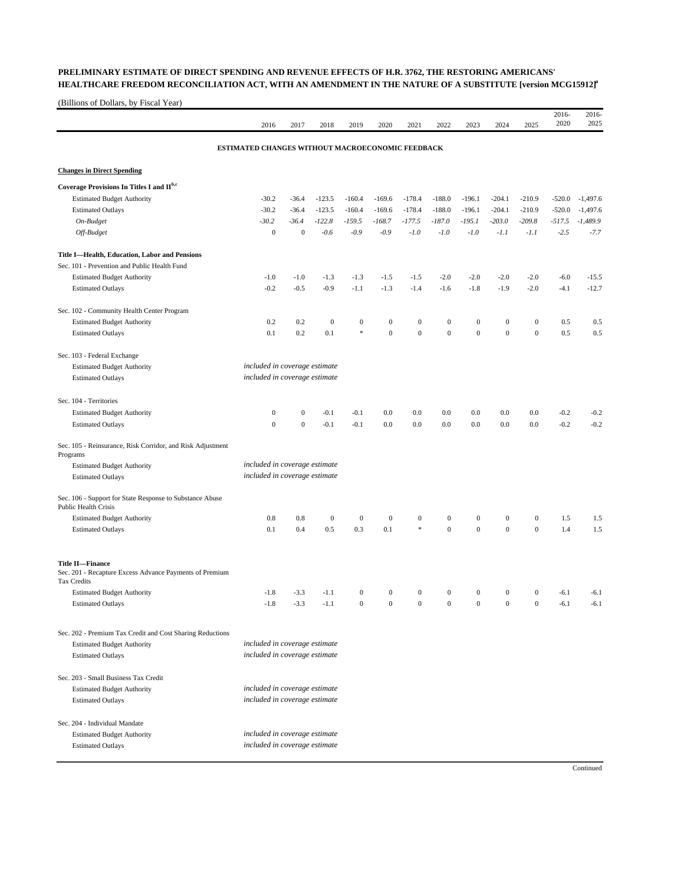## **PRELIMINARY ESTIMATE OF DIRECT SPENDING AND REVENUE EFFECTS OF H.R. 3762, THE RESTORING AMERICANS'**  HEALTHCARE FREEDOM RECONCILIATION ACT, WITH AN AMENDMENT IN THE NATURE OF A SUBSTITUTE [version MCG15912]<sup>a</sup>

(Billions of Dollars, by Fiscal Year)

| ESTIMATED CHANGES WITHOUT MACROECONOMIC FEEDBACK<br><b>Changes in Direct Spending</b><br>Coverage Provisions In Titles I and IIb,c<br><b>Estimated Budget Authority</b><br>$-204.1$<br>$-30.2$<br>$-36.4$<br>$-123.5$<br>$-160.4$<br>$-169.6$<br>$-178.4$<br>$-188.0$<br>$-196.1$<br>$-210.9$<br>$-520.0$<br>$-1,497.6$<br>$-30.2$<br>$-204.1$<br><b>Estimated Outlays</b><br>$-36.4$<br>$-123.5$<br>$-160.4$<br>$-169.6$<br>$-178.4$<br>$-188.0$<br>$-196.1$<br>$-210.9$<br>$-520.0$<br>$-1,497.6$<br>On-Budget<br>$-30.2$<br>$-36.4$<br>$-122.8$<br>$-159.5$<br>$-168.7$<br>$-177.5$<br>$-187.0$<br>$-195.1$<br>$-203.0$<br>$-209.8$<br>$-517.5$<br>$-1,489.9$<br>$\overline{0}$<br>$-2.5$<br>$\mathbf{0}$<br>$-0.6$<br>$-0.9$<br>$-0.9$<br>$-1.0$<br>$-1.0$<br>$-1.0$<br>$-7.7$<br>Off-Budget<br>$-1.1$<br>$-1.1$<br>Title I-Health, Education, Labor and Pensions<br>Sec. 101 - Prevention and Public Health Fund<br><b>Estimated Budget Authority</b><br>$-1.0$<br>$-1.0$<br>$-1.3$<br>$-2.0$<br>$-2.0$<br>$-2.0$<br>$-2.0$<br>$-6.0$<br>$-15.5$<br>$-1.3$<br>-1.5<br>-1.5<br>$-0.2$<br>$-0.5$<br>$-0.9$<br>$-1.3$<br>$-1.4$<br>$-1.6$<br>$-1.8$<br>$-1.9$<br>$-2.0$<br>$-4.1$<br>$-12.7$<br><b>Estimated Outlays</b><br>$-1.1$<br>Sec. 102 - Community Health Center Program<br><b>Estimated Budget Authority</b><br>0.2<br>0.2<br>$\boldsymbol{0}$<br>$\boldsymbol{0}$<br>$\boldsymbol{0}$<br>$\boldsymbol{0}$<br>$\boldsymbol{0}$<br>$\boldsymbol{0}$<br>$\boldsymbol{0}$<br>$\boldsymbol{0}$<br>0.5<br>0.5<br>×<br>$\boldsymbol{0}$<br>$\boldsymbol{0}$<br>$\boldsymbol{0}$<br>$\boldsymbol{0}$<br>$\boldsymbol{0}$<br>$\mathbf{0}$<br>0.1<br>0.2<br>0.1<br>0.5<br>0.5<br><b>Estimated Outlays</b><br>Sec. 103 - Federal Exchange<br>included in coverage estimate<br><b>Estimated Budget Authority</b><br>included in coverage estimate<br><b>Estimated Outlays</b><br>Sec. 104 - Territories<br>$\boldsymbol{0}$<br>0.0<br><b>Estimated Budget Authority</b><br>$\mathbf{0}$<br>$-0.1$<br>$-0.1$<br>0.0<br>0.0<br>0.0<br>0.0<br>0.0<br>$-0.2$<br>$-0.2$<br>$\mathbf{0}$<br>$\mathbf{0}$<br>$-0.2$<br>$-0.1$<br>0.0<br>0.0<br>0.0<br>$-0.2$<br><b>Estimated Outlays</b><br>$-0.1$<br>0.0<br>0.0<br>0.0<br>Sec. 105 - Reinsurance, Risk Corridor, and Risk Adjustment<br>Programs<br>included in coverage estimate<br><b>Estimated Budget Authority</b><br>included in coverage estimate<br><b>Estimated Outlays</b><br>Sec. 106 - Support for State Response to Substance Abuse<br><b>Public Health Crisis</b><br>$\mathbf{0}$<br>0.8<br>$\boldsymbol{0}$<br>$\mathbf{0}$<br>$\boldsymbol{0}$<br>$\boldsymbol{0}$<br>$\boldsymbol{0}$<br>$\boldsymbol{0}$<br>$\mathbf{0}$<br>1.5<br>1.5<br><b>Estimated Budget Authority</b><br>0.8<br>0.4<br>0.5<br>0.3<br>0.1<br>$\ast$<br>$\mathbf{0}$<br>$\mathbf{0}$<br>$\mathbf{0}$<br>$\mathbf{0}$<br>1.5<br>0.1<br>1.4<br><b>Estimated Outlays</b><br><b>Title II-Finance</b><br>Sec. 201 - Recapture Excess Advance Payments of Premium<br>Tax Credits<br>$\boldsymbol{0}$<br><b>Estimated Budget Authority</b><br>$-1.8$<br>$-3.3$<br>$-1.1$<br>$\boldsymbol{0}$<br>$\boldsymbol{0}$<br>$\boldsymbol{0}$<br>$\mathbf{0}$<br>$\bf{0}$<br>$\mathbf{0}$<br>$-6.1$<br>$-6.1$<br>$\overline{0}$<br>$\mathbf{0}$<br>$\overline{0}$<br>$\mathbf{0}$<br>$\mathbf{0}$<br>$\mathbf{0}$<br>$-1.8$<br>$-3.3$<br>$-1.1$<br>$\mathbf{0}$<br>$-6.1$<br><b>Estimated Outlays</b><br>$-6.1$<br>Sec. 202 - Premium Tax Credit and Cost Sharing Reductions<br>included in coverage estimate<br><b>Estimated Budget Authority</b><br>included in coverage estimate<br><b>Estimated Outlays</b><br>included in coverage estimate<br><b>Estimated Budget Authority</b><br>included in coverage estimate<br><b>Estimated Outlays</b><br>Sec. 204 - Individual Mandate<br>included in coverage estimate<br><b>Estimated Budget Authority</b><br>included in coverage estimate<br><b>Estimated Outlays</b> |                                      | 2016 | 2017 | 2018 | 2019 | 2020 | 2021 | 2022 | 2023 | 2024 | 2025 | 2016-<br>2020 | 2016-<br>2025 |
|---------------------------------------------------------------------------------------------------------------------------------------------------------------------------------------------------------------------------------------------------------------------------------------------------------------------------------------------------------------------------------------------------------------------------------------------------------------------------------------------------------------------------------------------------------------------------------------------------------------------------------------------------------------------------------------------------------------------------------------------------------------------------------------------------------------------------------------------------------------------------------------------------------------------------------------------------------------------------------------------------------------------------------------------------------------------------------------------------------------------------------------------------------------------------------------------------------------------------------------------------------------------------------------------------------------------------------------------------------------------------------------------------------------------------------------------------------------------------------------------------------------------------------------------------------------------------------------------------------------------------------------------------------------------------------------------------------------------------------------------------------------------------------------------------------------------------------------------------------------------------------------------------------------------------------------------------------------------------------------------------------------------------------------------------------------------------------------------------------------------------------------------------------------------------------------------------------------------------------------------------------------------------------------------------------------------------------------------------------------------------------------------------------------------------------------------------------------------------------------------------------------------------------------------------------------------------------------------------------------------------------------------------------------------------------------------------------------------------------------------------------------------------------------------------------------------------------------------------------------------------------------------------------------------------------------------------------------------------------------------------------------------------------------------------------------------------------------------------------------------------------------------------------------------------------------------------------------------------------------------------------------------------------------------------------------------------------------------------------------------------------------------------------------------------------------------------------------------------------------------------------------------------------------------------------------------------------------------------------------------------------------------------------------------------------------------------------------------------------------------------------------------------------------------------------------------------------------------------------------------------------------------------------------------------------------|--------------------------------------|------|------|------|------|------|------|------|------|------|------|---------------|---------------|
|                                                                                                                                                                                                                                                                                                                                                                                                                                                                                                                                                                                                                                                                                                                                                                                                                                                                                                                                                                                                                                                                                                                                                                                                                                                                                                                                                                                                                                                                                                                                                                                                                                                                                                                                                                                                                                                                                                                                                                                                                                                                                                                                                                                                                                                                                                                                                                                                                                                                                                                                                                                                                                                                                                                                                                                                                                                                                                                                                                                                                                                                                                                                                                                                                                                                                                                                                                                                                                                                                                                                                                                                                                                                                                                                                                                                                                                                                                                                       |                                      |      |      |      |      |      |      |      |      |      |      |               |               |
|                                                                                                                                                                                                                                                                                                                                                                                                                                                                                                                                                                                                                                                                                                                                                                                                                                                                                                                                                                                                                                                                                                                                                                                                                                                                                                                                                                                                                                                                                                                                                                                                                                                                                                                                                                                                                                                                                                                                                                                                                                                                                                                                                                                                                                                                                                                                                                                                                                                                                                                                                                                                                                                                                                                                                                                                                                                                                                                                                                                                                                                                                                                                                                                                                                                                                                                                                                                                                                                                                                                                                                                                                                                                                                                                                                                                                                                                                                                                       |                                      |      |      |      |      |      |      |      |      |      |      |               |               |
|                                                                                                                                                                                                                                                                                                                                                                                                                                                                                                                                                                                                                                                                                                                                                                                                                                                                                                                                                                                                                                                                                                                                                                                                                                                                                                                                                                                                                                                                                                                                                                                                                                                                                                                                                                                                                                                                                                                                                                                                                                                                                                                                                                                                                                                                                                                                                                                                                                                                                                                                                                                                                                                                                                                                                                                                                                                                                                                                                                                                                                                                                                                                                                                                                                                                                                                                                                                                                                                                                                                                                                                                                                                                                                                                                                                                                                                                                                                                       |                                      |      |      |      |      |      |      |      |      |      |      |               |               |
|                                                                                                                                                                                                                                                                                                                                                                                                                                                                                                                                                                                                                                                                                                                                                                                                                                                                                                                                                                                                                                                                                                                                                                                                                                                                                                                                                                                                                                                                                                                                                                                                                                                                                                                                                                                                                                                                                                                                                                                                                                                                                                                                                                                                                                                                                                                                                                                                                                                                                                                                                                                                                                                                                                                                                                                                                                                                                                                                                                                                                                                                                                                                                                                                                                                                                                                                                                                                                                                                                                                                                                                                                                                                                                                                                                                                                                                                                                                                       |                                      |      |      |      |      |      |      |      |      |      |      |               |               |
|                                                                                                                                                                                                                                                                                                                                                                                                                                                                                                                                                                                                                                                                                                                                                                                                                                                                                                                                                                                                                                                                                                                                                                                                                                                                                                                                                                                                                                                                                                                                                                                                                                                                                                                                                                                                                                                                                                                                                                                                                                                                                                                                                                                                                                                                                                                                                                                                                                                                                                                                                                                                                                                                                                                                                                                                                                                                                                                                                                                                                                                                                                                                                                                                                                                                                                                                                                                                                                                                                                                                                                                                                                                                                                                                                                                                                                                                                                                                       |                                      |      |      |      |      |      |      |      |      |      |      |               |               |
|                                                                                                                                                                                                                                                                                                                                                                                                                                                                                                                                                                                                                                                                                                                                                                                                                                                                                                                                                                                                                                                                                                                                                                                                                                                                                                                                                                                                                                                                                                                                                                                                                                                                                                                                                                                                                                                                                                                                                                                                                                                                                                                                                                                                                                                                                                                                                                                                                                                                                                                                                                                                                                                                                                                                                                                                                                                                                                                                                                                                                                                                                                                                                                                                                                                                                                                                                                                                                                                                                                                                                                                                                                                                                                                                                                                                                                                                                                                                       |                                      |      |      |      |      |      |      |      |      |      |      |               |               |
|                                                                                                                                                                                                                                                                                                                                                                                                                                                                                                                                                                                                                                                                                                                                                                                                                                                                                                                                                                                                                                                                                                                                                                                                                                                                                                                                                                                                                                                                                                                                                                                                                                                                                                                                                                                                                                                                                                                                                                                                                                                                                                                                                                                                                                                                                                                                                                                                                                                                                                                                                                                                                                                                                                                                                                                                                                                                                                                                                                                                                                                                                                                                                                                                                                                                                                                                                                                                                                                                                                                                                                                                                                                                                                                                                                                                                                                                                                                                       |                                      |      |      |      |      |      |      |      |      |      |      |               |               |
|                                                                                                                                                                                                                                                                                                                                                                                                                                                                                                                                                                                                                                                                                                                                                                                                                                                                                                                                                                                                                                                                                                                                                                                                                                                                                                                                                                                                                                                                                                                                                                                                                                                                                                                                                                                                                                                                                                                                                                                                                                                                                                                                                                                                                                                                                                                                                                                                                                                                                                                                                                                                                                                                                                                                                                                                                                                                                                                                                                                                                                                                                                                                                                                                                                                                                                                                                                                                                                                                                                                                                                                                                                                                                                                                                                                                                                                                                                                                       |                                      |      |      |      |      |      |      |      |      |      |      |               |               |
|                                                                                                                                                                                                                                                                                                                                                                                                                                                                                                                                                                                                                                                                                                                                                                                                                                                                                                                                                                                                                                                                                                                                                                                                                                                                                                                                                                                                                                                                                                                                                                                                                                                                                                                                                                                                                                                                                                                                                                                                                                                                                                                                                                                                                                                                                                                                                                                                                                                                                                                                                                                                                                                                                                                                                                                                                                                                                                                                                                                                                                                                                                                                                                                                                                                                                                                                                                                                                                                                                                                                                                                                                                                                                                                                                                                                                                                                                                                                       |                                      |      |      |      |      |      |      |      |      |      |      |               |               |
|                                                                                                                                                                                                                                                                                                                                                                                                                                                                                                                                                                                                                                                                                                                                                                                                                                                                                                                                                                                                                                                                                                                                                                                                                                                                                                                                                                                                                                                                                                                                                                                                                                                                                                                                                                                                                                                                                                                                                                                                                                                                                                                                                                                                                                                                                                                                                                                                                                                                                                                                                                                                                                                                                                                                                                                                                                                                                                                                                                                                                                                                                                                                                                                                                                                                                                                                                                                                                                                                                                                                                                                                                                                                                                                                                                                                                                                                                                                                       |                                      |      |      |      |      |      |      |      |      |      |      |               |               |
|                                                                                                                                                                                                                                                                                                                                                                                                                                                                                                                                                                                                                                                                                                                                                                                                                                                                                                                                                                                                                                                                                                                                                                                                                                                                                                                                                                                                                                                                                                                                                                                                                                                                                                                                                                                                                                                                                                                                                                                                                                                                                                                                                                                                                                                                                                                                                                                                                                                                                                                                                                                                                                                                                                                                                                                                                                                                                                                                                                                                                                                                                                                                                                                                                                                                                                                                                                                                                                                                                                                                                                                                                                                                                                                                                                                                                                                                                                                                       |                                      |      |      |      |      |      |      |      |      |      |      |               |               |
|                                                                                                                                                                                                                                                                                                                                                                                                                                                                                                                                                                                                                                                                                                                                                                                                                                                                                                                                                                                                                                                                                                                                                                                                                                                                                                                                                                                                                                                                                                                                                                                                                                                                                                                                                                                                                                                                                                                                                                                                                                                                                                                                                                                                                                                                                                                                                                                                                                                                                                                                                                                                                                                                                                                                                                                                                                                                                                                                                                                                                                                                                                                                                                                                                                                                                                                                                                                                                                                                                                                                                                                                                                                                                                                                                                                                                                                                                                                                       |                                      |      |      |      |      |      |      |      |      |      |      |               |               |
|                                                                                                                                                                                                                                                                                                                                                                                                                                                                                                                                                                                                                                                                                                                                                                                                                                                                                                                                                                                                                                                                                                                                                                                                                                                                                                                                                                                                                                                                                                                                                                                                                                                                                                                                                                                                                                                                                                                                                                                                                                                                                                                                                                                                                                                                                                                                                                                                                                                                                                                                                                                                                                                                                                                                                                                                                                                                                                                                                                                                                                                                                                                                                                                                                                                                                                                                                                                                                                                                                                                                                                                                                                                                                                                                                                                                                                                                                                                                       |                                      |      |      |      |      |      |      |      |      |      |      |               |               |
|                                                                                                                                                                                                                                                                                                                                                                                                                                                                                                                                                                                                                                                                                                                                                                                                                                                                                                                                                                                                                                                                                                                                                                                                                                                                                                                                                                                                                                                                                                                                                                                                                                                                                                                                                                                                                                                                                                                                                                                                                                                                                                                                                                                                                                                                                                                                                                                                                                                                                                                                                                                                                                                                                                                                                                                                                                                                                                                                                                                                                                                                                                                                                                                                                                                                                                                                                                                                                                                                                                                                                                                                                                                                                                                                                                                                                                                                                                                                       |                                      |      |      |      |      |      |      |      |      |      |      |               |               |
|                                                                                                                                                                                                                                                                                                                                                                                                                                                                                                                                                                                                                                                                                                                                                                                                                                                                                                                                                                                                                                                                                                                                                                                                                                                                                                                                                                                                                                                                                                                                                                                                                                                                                                                                                                                                                                                                                                                                                                                                                                                                                                                                                                                                                                                                                                                                                                                                                                                                                                                                                                                                                                                                                                                                                                                                                                                                                                                                                                                                                                                                                                                                                                                                                                                                                                                                                                                                                                                                                                                                                                                                                                                                                                                                                                                                                                                                                                                                       |                                      |      |      |      |      |      |      |      |      |      |      |               |               |
|                                                                                                                                                                                                                                                                                                                                                                                                                                                                                                                                                                                                                                                                                                                                                                                                                                                                                                                                                                                                                                                                                                                                                                                                                                                                                                                                                                                                                                                                                                                                                                                                                                                                                                                                                                                                                                                                                                                                                                                                                                                                                                                                                                                                                                                                                                                                                                                                                                                                                                                                                                                                                                                                                                                                                                                                                                                                                                                                                                                                                                                                                                                                                                                                                                                                                                                                                                                                                                                                                                                                                                                                                                                                                                                                                                                                                                                                                                                                       |                                      |      |      |      |      |      |      |      |      |      |      |               |               |
|                                                                                                                                                                                                                                                                                                                                                                                                                                                                                                                                                                                                                                                                                                                                                                                                                                                                                                                                                                                                                                                                                                                                                                                                                                                                                                                                                                                                                                                                                                                                                                                                                                                                                                                                                                                                                                                                                                                                                                                                                                                                                                                                                                                                                                                                                                                                                                                                                                                                                                                                                                                                                                                                                                                                                                                                                                                                                                                                                                                                                                                                                                                                                                                                                                                                                                                                                                                                                                                                                                                                                                                                                                                                                                                                                                                                                                                                                                                                       |                                      |      |      |      |      |      |      |      |      |      |      |               |               |
|                                                                                                                                                                                                                                                                                                                                                                                                                                                                                                                                                                                                                                                                                                                                                                                                                                                                                                                                                                                                                                                                                                                                                                                                                                                                                                                                                                                                                                                                                                                                                                                                                                                                                                                                                                                                                                                                                                                                                                                                                                                                                                                                                                                                                                                                                                                                                                                                                                                                                                                                                                                                                                                                                                                                                                                                                                                                                                                                                                                                                                                                                                                                                                                                                                                                                                                                                                                                                                                                                                                                                                                                                                                                                                                                                                                                                                                                                                                                       |                                      |      |      |      |      |      |      |      |      |      |      |               |               |
|                                                                                                                                                                                                                                                                                                                                                                                                                                                                                                                                                                                                                                                                                                                                                                                                                                                                                                                                                                                                                                                                                                                                                                                                                                                                                                                                                                                                                                                                                                                                                                                                                                                                                                                                                                                                                                                                                                                                                                                                                                                                                                                                                                                                                                                                                                                                                                                                                                                                                                                                                                                                                                                                                                                                                                                                                                                                                                                                                                                                                                                                                                                                                                                                                                                                                                                                                                                                                                                                                                                                                                                                                                                                                                                                                                                                                                                                                                                                       |                                      |      |      |      |      |      |      |      |      |      |      |               |               |
|                                                                                                                                                                                                                                                                                                                                                                                                                                                                                                                                                                                                                                                                                                                                                                                                                                                                                                                                                                                                                                                                                                                                                                                                                                                                                                                                                                                                                                                                                                                                                                                                                                                                                                                                                                                                                                                                                                                                                                                                                                                                                                                                                                                                                                                                                                                                                                                                                                                                                                                                                                                                                                                                                                                                                                                                                                                                                                                                                                                                                                                                                                                                                                                                                                                                                                                                                                                                                                                                                                                                                                                                                                                                                                                                                                                                                                                                                                                                       |                                      |      |      |      |      |      |      |      |      |      |      |               |               |
|                                                                                                                                                                                                                                                                                                                                                                                                                                                                                                                                                                                                                                                                                                                                                                                                                                                                                                                                                                                                                                                                                                                                                                                                                                                                                                                                                                                                                                                                                                                                                                                                                                                                                                                                                                                                                                                                                                                                                                                                                                                                                                                                                                                                                                                                                                                                                                                                                                                                                                                                                                                                                                                                                                                                                                                                                                                                                                                                                                                                                                                                                                                                                                                                                                                                                                                                                                                                                                                                                                                                                                                                                                                                                                                                                                                                                                                                                                                                       |                                      |      |      |      |      |      |      |      |      |      |      |               |               |
|                                                                                                                                                                                                                                                                                                                                                                                                                                                                                                                                                                                                                                                                                                                                                                                                                                                                                                                                                                                                                                                                                                                                                                                                                                                                                                                                                                                                                                                                                                                                                                                                                                                                                                                                                                                                                                                                                                                                                                                                                                                                                                                                                                                                                                                                                                                                                                                                                                                                                                                                                                                                                                                                                                                                                                                                                                                                                                                                                                                                                                                                                                                                                                                                                                                                                                                                                                                                                                                                                                                                                                                                                                                                                                                                                                                                                                                                                                                                       |                                      |      |      |      |      |      |      |      |      |      |      |               |               |
|                                                                                                                                                                                                                                                                                                                                                                                                                                                                                                                                                                                                                                                                                                                                                                                                                                                                                                                                                                                                                                                                                                                                                                                                                                                                                                                                                                                                                                                                                                                                                                                                                                                                                                                                                                                                                                                                                                                                                                                                                                                                                                                                                                                                                                                                                                                                                                                                                                                                                                                                                                                                                                                                                                                                                                                                                                                                                                                                                                                                                                                                                                                                                                                                                                                                                                                                                                                                                                                                                                                                                                                                                                                                                                                                                                                                                                                                                                                                       |                                      |      |      |      |      |      |      |      |      |      |      |               |               |
|                                                                                                                                                                                                                                                                                                                                                                                                                                                                                                                                                                                                                                                                                                                                                                                                                                                                                                                                                                                                                                                                                                                                                                                                                                                                                                                                                                                                                                                                                                                                                                                                                                                                                                                                                                                                                                                                                                                                                                                                                                                                                                                                                                                                                                                                                                                                                                                                                                                                                                                                                                                                                                                                                                                                                                                                                                                                                                                                                                                                                                                                                                                                                                                                                                                                                                                                                                                                                                                                                                                                                                                                                                                                                                                                                                                                                                                                                                                                       |                                      |      |      |      |      |      |      |      |      |      |      |               |               |
|                                                                                                                                                                                                                                                                                                                                                                                                                                                                                                                                                                                                                                                                                                                                                                                                                                                                                                                                                                                                                                                                                                                                                                                                                                                                                                                                                                                                                                                                                                                                                                                                                                                                                                                                                                                                                                                                                                                                                                                                                                                                                                                                                                                                                                                                                                                                                                                                                                                                                                                                                                                                                                                                                                                                                                                                                                                                                                                                                                                                                                                                                                                                                                                                                                                                                                                                                                                                                                                                                                                                                                                                                                                                                                                                                                                                                                                                                                                                       |                                      |      |      |      |      |      |      |      |      |      |      |               |               |
|                                                                                                                                                                                                                                                                                                                                                                                                                                                                                                                                                                                                                                                                                                                                                                                                                                                                                                                                                                                                                                                                                                                                                                                                                                                                                                                                                                                                                                                                                                                                                                                                                                                                                                                                                                                                                                                                                                                                                                                                                                                                                                                                                                                                                                                                                                                                                                                                                                                                                                                                                                                                                                                                                                                                                                                                                                                                                                                                                                                                                                                                                                                                                                                                                                                                                                                                                                                                                                                                                                                                                                                                                                                                                                                                                                                                                                                                                                                                       |                                      |      |      |      |      |      |      |      |      |      |      |               |               |
|                                                                                                                                                                                                                                                                                                                                                                                                                                                                                                                                                                                                                                                                                                                                                                                                                                                                                                                                                                                                                                                                                                                                                                                                                                                                                                                                                                                                                                                                                                                                                                                                                                                                                                                                                                                                                                                                                                                                                                                                                                                                                                                                                                                                                                                                                                                                                                                                                                                                                                                                                                                                                                                                                                                                                                                                                                                                                                                                                                                                                                                                                                                                                                                                                                                                                                                                                                                                                                                                                                                                                                                                                                                                                                                                                                                                                                                                                                                                       |                                      |      |      |      |      |      |      |      |      |      |      |               |               |
|                                                                                                                                                                                                                                                                                                                                                                                                                                                                                                                                                                                                                                                                                                                                                                                                                                                                                                                                                                                                                                                                                                                                                                                                                                                                                                                                                                                                                                                                                                                                                                                                                                                                                                                                                                                                                                                                                                                                                                                                                                                                                                                                                                                                                                                                                                                                                                                                                                                                                                                                                                                                                                                                                                                                                                                                                                                                                                                                                                                                                                                                                                                                                                                                                                                                                                                                                                                                                                                                                                                                                                                                                                                                                                                                                                                                                                                                                                                                       |                                      |      |      |      |      |      |      |      |      |      |      |               |               |
|                                                                                                                                                                                                                                                                                                                                                                                                                                                                                                                                                                                                                                                                                                                                                                                                                                                                                                                                                                                                                                                                                                                                                                                                                                                                                                                                                                                                                                                                                                                                                                                                                                                                                                                                                                                                                                                                                                                                                                                                                                                                                                                                                                                                                                                                                                                                                                                                                                                                                                                                                                                                                                                                                                                                                                                                                                                                                                                                                                                                                                                                                                                                                                                                                                                                                                                                                                                                                                                                                                                                                                                                                                                                                                                                                                                                                                                                                                                                       |                                      |      |      |      |      |      |      |      |      |      |      |               |               |
|                                                                                                                                                                                                                                                                                                                                                                                                                                                                                                                                                                                                                                                                                                                                                                                                                                                                                                                                                                                                                                                                                                                                                                                                                                                                                                                                                                                                                                                                                                                                                                                                                                                                                                                                                                                                                                                                                                                                                                                                                                                                                                                                                                                                                                                                                                                                                                                                                                                                                                                                                                                                                                                                                                                                                                                                                                                                                                                                                                                                                                                                                                                                                                                                                                                                                                                                                                                                                                                                                                                                                                                                                                                                                                                                                                                                                                                                                                                                       |                                      |      |      |      |      |      |      |      |      |      |      |               |               |
|                                                                                                                                                                                                                                                                                                                                                                                                                                                                                                                                                                                                                                                                                                                                                                                                                                                                                                                                                                                                                                                                                                                                                                                                                                                                                                                                                                                                                                                                                                                                                                                                                                                                                                                                                                                                                                                                                                                                                                                                                                                                                                                                                                                                                                                                                                                                                                                                                                                                                                                                                                                                                                                                                                                                                                                                                                                                                                                                                                                                                                                                                                                                                                                                                                                                                                                                                                                                                                                                                                                                                                                                                                                                                                                                                                                                                                                                                                                                       |                                      |      |      |      |      |      |      |      |      |      |      |               |               |
|                                                                                                                                                                                                                                                                                                                                                                                                                                                                                                                                                                                                                                                                                                                                                                                                                                                                                                                                                                                                                                                                                                                                                                                                                                                                                                                                                                                                                                                                                                                                                                                                                                                                                                                                                                                                                                                                                                                                                                                                                                                                                                                                                                                                                                                                                                                                                                                                                                                                                                                                                                                                                                                                                                                                                                                                                                                                                                                                                                                                                                                                                                                                                                                                                                                                                                                                                                                                                                                                                                                                                                                                                                                                                                                                                                                                                                                                                                                                       |                                      |      |      |      |      |      |      |      |      |      |      |               |               |
|                                                                                                                                                                                                                                                                                                                                                                                                                                                                                                                                                                                                                                                                                                                                                                                                                                                                                                                                                                                                                                                                                                                                                                                                                                                                                                                                                                                                                                                                                                                                                                                                                                                                                                                                                                                                                                                                                                                                                                                                                                                                                                                                                                                                                                                                                                                                                                                                                                                                                                                                                                                                                                                                                                                                                                                                                                                                                                                                                                                                                                                                                                                                                                                                                                                                                                                                                                                                                                                                                                                                                                                                                                                                                                                                                                                                                                                                                                                                       |                                      |      |      |      |      |      |      |      |      |      |      |               |               |
|                                                                                                                                                                                                                                                                                                                                                                                                                                                                                                                                                                                                                                                                                                                                                                                                                                                                                                                                                                                                                                                                                                                                                                                                                                                                                                                                                                                                                                                                                                                                                                                                                                                                                                                                                                                                                                                                                                                                                                                                                                                                                                                                                                                                                                                                                                                                                                                                                                                                                                                                                                                                                                                                                                                                                                                                                                                                                                                                                                                                                                                                                                                                                                                                                                                                                                                                                                                                                                                                                                                                                                                                                                                                                                                                                                                                                                                                                                                                       |                                      |      |      |      |      |      |      |      |      |      |      |               |               |
|                                                                                                                                                                                                                                                                                                                                                                                                                                                                                                                                                                                                                                                                                                                                                                                                                                                                                                                                                                                                                                                                                                                                                                                                                                                                                                                                                                                                                                                                                                                                                                                                                                                                                                                                                                                                                                                                                                                                                                                                                                                                                                                                                                                                                                                                                                                                                                                                                                                                                                                                                                                                                                                                                                                                                                                                                                                                                                                                                                                                                                                                                                                                                                                                                                                                                                                                                                                                                                                                                                                                                                                                                                                                                                                                                                                                                                                                                                                                       | Sec. 203 - Small Business Tax Credit |      |      |      |      |      |      |      |      |      |      |               |               |
|                                                                                                                                                                                                                                                                                                                                                                                                                                                                                                                                                                                                                                                                                                                                                                                                                                                                                                                                                                                                                                                                                                                                                                                                                                                                                                                                                                                                                                                                                                                                                                                                                                                                                                                                                                                                                                                                                                                                                                                                                                                                                                                                                                                                                                                                                                                                                                                                                                                                                                                                                                                                                                                                                                                                                                                                                                                                                                                                                                                                                                                                                                                                                                                                                                                                                                                                                                                                                                                                                                                                                                                                                                                                                                                                                                                                                                                                                                                                       |                                      |      |      |      |      |      |      |      |      |      |      |               |               |
|                                                                                                                                                                                                                                                                                                                                                                                                                                                                                                                                                                                                                                                                                                                                                                                                                                                                                                                                                                                                                                                                                                                                                                                                                                                                                                                                                                                                                                                                                                                                                                                                                                                                                                                                                                                                                                                                                                                                                                                                                                                                                                                                                                                                                                                                                                                                                                                                                                                                                                                                                                                                                                                                                                                                                                                                                                                                                                                                                                                                                                                                                                                                                                                                                                                                                                                                                                                                                                                                                                                                                                                                                                                                                                                                                                                                                                                                                                                                       |                                      |      |      |      |      |      |      |      |      |      |      |               |               |
|                                                                                                                                                                                                                                                                                                                                                                                                                                                                                                                                                                                                                                                                                                                                                                                                                                                                                                                                                                                                                                                                                                                                                                                                                                                                                                                                                                                                                                                                                                                                                                                                                                                                                                                                                                                                                                                                                                                                                                                                                                                                                                                                                                                                                                                                                                                                                                                                                                                                                                                                                                                                                                                                                                                                                                                                                                                                                                                                                                                                                                                                                                                                                                                                                                                                                                                                                                                                                                                                                                                                                                                                                                                                                                                                                                                                                                                                                                                                       |                                      |      |      |      |      |      |      |      |      |      |      |               |               |
|                                                                                                                                                                                                                                                                                                                                                                                                                                                                                                                                                                                                                                                                                                                                                                                                                                                                                                                                                                                                                                                                                                                                                                                                                                                                                                                                                                                                                                                                                                                                                                                                                                                                                                                                                                                                                                                                                                                                                                                                                                                                                                                                                                                                                                                                                                                                                                                                                                                                                                                                                                                                                                                                                                                                                                                                                                                                                                                                                                                                                                                                                                                                                                                                                                                                                                                                                                                                                                                                                                                                                                                                                                                                                                                                                                                                                                                                                                                                       |                                      |      |      |      |      |      |      |      |      |      |      |               |               |
|                                                                                                                                                                                                                                                                                                                                                                                                                                                                                                                                                                                                                                                                                                                                                                                                                                                                                                                                                                                                                                                                                                                                                                                                                                                                                                                                                                                                                                                                                                                                                                                                                                                                                                                                                                                                                                                                                                                                                                                                                                                                                                                                                                                                                                                                                                                                                                                                                                                                                                                                                                                                                                                                                                                                                                                                                                                                                                                                                                                                                                                                                                                                                                                                                                                                                                                                                                                                                                                                                                                                                                                                                                                                                                                                                                                                                                                                                                                                       |                                      |      |      |      |      |      |      |      |      |      |      |               |               |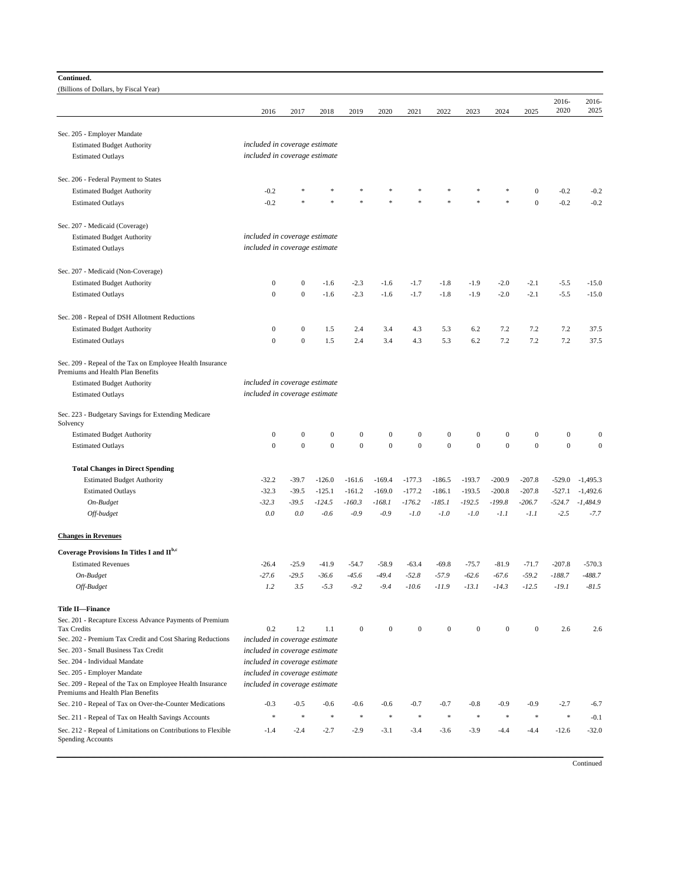## **Continued.**

(Billions of Dollars, by Fiscal Year)

| (Billions of Dollars, by Fiscal Year)                                                          |                                    |                                    |                                    |                                    |                                    |                                    |                                  |                            |                                    |                                      |                                  |                                    |
|------------------------------------------------------------------------------------------------|------------------------------------|------------------------------------|------------------------------------|------------------------------------|------------------------------------|------------------------------------|----------------------------------|----------------------------|------------------------------------|--------------------------------------|----------------------------------|------------------------------------|
|                                                                                                | 2016                               | 2017                               | 2018                               | 2019                               | 2020                               | 2021                               | 2022                             | 2023                       | 2024                               | 2025                                 | 2016-<br>2020                    | 2016-<br>2025                      |
| Sec. 205 - Employer Mandate                                                                    |                                    |                                    |                                    |                                    |                                    |                                    |                                  |                            |                                    |                                      |                                  |                                    |
| <b>Estimated Budget Authority</b>                                                              | included in coverage estimate      |                                    |                                    |                                    |                                    |                                    |                                  |                            |                                    |                                      |                                  |                                    |
| <b>Estimated Outlays</b>                                                                       | included in coverage estimate      |                                    |                                    |                                    |                                    |                                    |                                  |                            |                                    |                                      |                                  |                                    |
|                                                                                                |                                    |                                    |                                    |                                    |                                    |                                    |                                  |                            |                                    |                                      |                                  |                                    |
| Sec. 206 - Federal Payment to States                                                           |                                    |                                    |                                    |                                    |                                    |                                    |                                  |                            |                                    |                                      |                                  |                                    |
| <b>Estimated Budget Authority</b>                                                              | $-0.2$                             |                                    |                                    |                                    |                                    |                                    |                                  |                            |                                    | $\boldsymbol{0}$                     | $-0.2$                           | $-0.2$                             |
| <b>Estimated Outlays</b>                                                                       | $-0.2$                             |                                    |                                    |                                    |                                    |                                    |                                  | s.                         | \$                                 | $\mathbf{0}$                         | $-0.2$                           | $-0.2$                             |
| Sec. 207 - Medicaid (Coverage)                                                                 |                                    |                                    |                                    |                                    |                                    |                                    |                                  |                            |                                    |                                      |                                  |                                    |
| <b>Estimated Budget Authority</b>                                                              | included in coverage estimate      |                                    |                                    |                                    |                                    |                                    |                                  |                            |                                    |                                      |                                  |                                    |
| <b>Estimated Outlays</b>                                                                       | included in coverage estimate      |                                    |                                    |                                    |                                    |                                    |                                  |                            |                                    |                                      |                                  |                                    |
| Sec. 207 - Medicaid (Non-Coverage)                                                             |                                    |                                    |                                    |                                    |                                    |                                    |                                  |                            |                                    |                                      |                                  |                                    |
| <b>Estimated Budget Authority</b>                                                              | $\mathbf{0}$                       | $\boldsymbol{0}$                   | $-1.6$                             | $-2.3$                             | $-1.6$                             | $-1.7$                             | $-1.8$                           | $-1.9$                     | $-2.0$                             | $-2.1$                               | $-5.5$                           | $-15.0$                            |
| <b>Estimated Outlays</b>                                                                       | $\overline{0}$                     | $\mathbf{0}$                       | $-1.6$                             | $-2.3$                             | $-1.6$                             | $-1.7$                             | $-1.8$                           | $-1.9$                     | $-2.0$                             | $-2.1$                               | $-5.5$                           | $-15.0$                            |
|                                                                                                |                                    |                                    |                                    |                                    |                                    |                                    |                                  |                            |                                    |                                      |                                  |                                    |
| Sec. 208 - Repeal of DSH Allotment Reductions                                                  |                                    |                                    |                                    |                                    |                                    |                                    |                                  |                            |                                    |                                      |                                  |                                    |
| <b>Estimated Budget Authority</b>                                                              | $\mathbf{0}$                       | $\mathbf{0}$                       | 1.5                                | 2.4                                | 3.4                                | 4.3                                | 5.3                              | 6.2                        | 7.2                                | 7.2                                  | 7.2                              | 37.5                               |
| <b>Estimated Outlays</b>                                                                       | $\boldsymbol{0}$                   | $\mathbf{0}$                       | 1.5                                | 2.4                                | 3.4                                | 4.3                                | 5.3                              | 6.2                        | 7.2                                | 7.2                                  | 7.2                              | 37.5                               |
| Sec. 209 - Repeal of the Tax on Employee Health Insurance<br>Premiums and Health Plan Benefits |                                    |                                    |                                    |                                    |                                    |                                    |                                  |                            |                                    |                                      |                                  |                                    |
| <b>Estimated Budget Authority</b>                                                              | included in coverage estimate      |                                    |                                    |                                    |                                    |                                    |                                  |                            |                                    |                                      |                                  |                                    |
| <b>Estimated Outlays</b>                                                                       | included in coverage estimate      |                                    |                                    |                                    |                                    |                                    |                                  |                            |                                    |                                      |                                  |                                    |
| Sec. 223 - Budgetary Savings for Extending Medicare                                            |                                    |                                    |                                    |                                    |                                    |                                    |                                  |                            |                                    |                                      |                                  |                                    |
| Solvency                                                                                       |                                    |                                    |                                    |                                    |                                    |                                    |                                  |                            |                                    |                                      |                                  |                                    |
| <b>Estimated Budget Authority</b>                                                              | $\boldsymbol{0}$<br>$\overline{0}$ | $\boldsymbol{0}$<br>$\overline{0}$ | $\boldsymbol{0}$<br>$\overline{0}$ | $\boldsymbol{0}$<br>$\overline{0}$ | $\boldsymbol{0}$<br>$\overline{0}$ | $\boldsymbol{0}$<br>$\overline{0}$ | $\boldsymbol{0}$<br>$\mathbf{0}$ | $\bf{0}$<br>$\overline{0}$ | $\boldsymbol{0}$<br>$\overline{0}$ | $\boldsymbol{0}$<br>$\boldsymbol{0}$ | $\boldsymbol{0}$<br>$\mathbf{0}$ | $\boldsymbol{0}$<br>$\overline{0}$ |
| <b>Estimated Outlays</b>                                                                       |                                    |                                    |                                    |                                    |                                    |                                    |                                  |                            |                                    |                                      |                                  |                                    |
| <b>Total Changes in Direct Spending</b>                                                        |                                    |                                    |                                    |                                    |                                    |                                    |                                  |                            |                                    |                                      |                                  |                                    |
| <b>Estimated Budget Authority</b>                                                              | $-32.2$                            | $-39.7$                            | $-126.0$                           | $-161.6$                           | $-169.4$                           | $-177.3$                           | $-186.5$                         | $-193.7$                   | $-200.9$                           | $-207.8$                             | $-529.0$                         | $-1,495.3$                         |
| <b>Estimated Outlays</b>                                                                       | $-32.3$                            | $-39.5$                            | $-125.1$                           | $-161.2$                           | $-169.0$                           | $-177.2$                           | $-186.1$                         | $-193.5$                   | $-200.8$                           | $-207.8$                             | $-527.1$                         | $-1,492.6$                         |
| On-Budget                                                                                      | $-32.3$                            | $-39.5$                            | $-124.5$                           | $-160.3$                           | $-168.1$                           | $-176.2$                           | $-185.1$                         | $-192.5$                   | $-199.8$                           | $-206.7$                             | $-524.7$                         | $-1,484.9$                         |
| Off-budget                                                                                     | 0.0                                | 0.0                                | $-0.6$                             | $-0.9$                             | $-0.9$                             | $-1.0$                             | $-1.0$                           | $-1.0$                     | $-1.1$                             | $-1.1$                               | $-2.5$                           | $-7.7$                             |
| <b>Changes in Revenues</b>                                                                     |                                    |                                    |                                    |                                    |                                    |                                    |                                  |                            |                                    |                                      |                                  |                                    |
| Coverage Provisions In Titles I and II <sup>b,c</sup>                                          |                                    |                                    |                                    |                                    |                                    |                                    |                                  |                            |                                    |                                      |                                  |                                    |
| <b>Estimated Revenues</b>                                                                      | $-26.4$                            | $-25.9$                            | $-41.9$                            | $-54.7$                            | $-58.9$                            | $-63.4$                            | $-69.8$                          | $-75.7$                    | $-81.9$                            | $-71.7$                              | $-207.8$                         | $-570.3$                           |
| On-Budget                                                                                      | $-27.6$                            | $-29.5$                            | $-36.6$                            | $-45.6$                            | $-49.4$                            | $-52.8$                            | $-57.9$                          | $-62.6$                    | $-67.6$                            | $-59.2$                              | $-188.7$                         | $-488.7$                           |
| Off-Budget                                                                                     | 1.2                                | 3.5                                | $-5.3$                             | $-9.2$                             | $-9.4$                             | $-10.6$                            | $-11.9$                          | $-13.1$                    | $-14.3$                            | $-12.5$                              | $-19.1$                          | $-81.5$                            |
| <b>Title II-Finance</b>                                                                        |                                    |                                    |                                    |                                    |                                    |                                    |                                  |                            |                                    |                                      |                                  |                                    |
| Sec. 201 - Recapture Excess Advance Payments of Premium                                        |                                    |                                    |                                    |                                    |                                    |                                    |                                  |                            |                                    |                                      |                                  |                                    |
| <b>Tax Credits</b>                                                                             | 0.2                                | 1.2                                | 1.1                                | $\boldsymbol{0}$                   | $\boldsymbol{0}$                   | $\mathbf{0}$                       | $\mathbf{0}$                     | $\bf{0}$                   | $\mathbf{0}$                       | $\mathbf{0}$                         | 2.6                              | 2.6                                |
| Sec. 202 - Premium Tax Credit and Cost Sharing Reductions                                      | included in coverage estimate      |                                    |                                    |                                    |                                    |                                    |                                  |                            |                                    |                                      |                                  |                                    |
| Sec. 203 - Small Business Tax Credit                                                           | included in coverage estimate      |                                    |                                    |                                    |                                    |                                    |                                  |                            |                                    |                                      |                                  |                                    |
| Sec. 204 - Individual Mandate                                                                  | included in coverage estimate      |                                    |                                    |                                    |                                    |                                    |                                  |                            |                                    |                                      |                                  |                                    |
| Sec. 205 - Employer Mandate                                                                    | included in coverage estimate      |                                    |                                    |                                    |                                    |                                    |                                  |                            |                                    |                                      |                                  |                                    |
| Sec. 209 - Repeal of the Tax on Employee Health Insurance<br>Premiums and Health Plan Benefits | included in coverage estimate      |                                    |                                    |                                    |                                    |                                    |                                  |                            |                                    |                                      |                                  |                                    |
| Sec. 210 - Repeal of Tax on Over-the-Counter Medications                                       | $-0.3$                             | $-0.5$                             | $-0.6$                             | $-0.6$                             | -0.6                               | -0.7                               | $-0.7$                           | -0.8                       | -0.9                               | -0.9                                 | -2.7                             | $-6.7$                             |
| Sec. 211 - Repeal of Tax on Health Savings Accounts                                            | $\ast$                             | $\frac{1}{2}$                      | $\frac{1}{2}$                      | $\frac{1}{2}$                      | $\frac{d\mu}{dt}$                  | $\frac{1}{2}$                      | $\frac{1}{2}$                    | $\frac{d\mathbf{r}}{dt}$   | $\frac{1}{2}$                      | $\frac{1}{2}$                        | $\ast$                           | $-0.1$                             |
| Sec. 212 - Repeal of Limitations on Contributions to Flexible<br><b>Spending Accounts</b>      | $-1.4$                             | $-2.4$                             | $-2.7$                             | $-2.9$                             | $-3.1$                             | $-3.4$                             | $-3.6$                           | $-3.9$                     | $-4.4$                             | $-4.4$                               | $-12.6$                          | $-32.0$                            |

**Continued**